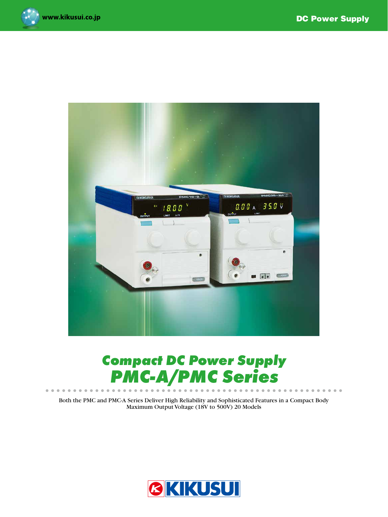$0<sup>1</sup>$ 





# *Compact DC Power Supply PMC-A/PMC Series*

Both the PMC and PMC-A Series Deliver High Reliability and Sophisticated Features in a Compact Body Maximum Output Voltage (18V to 500V) 20 Models

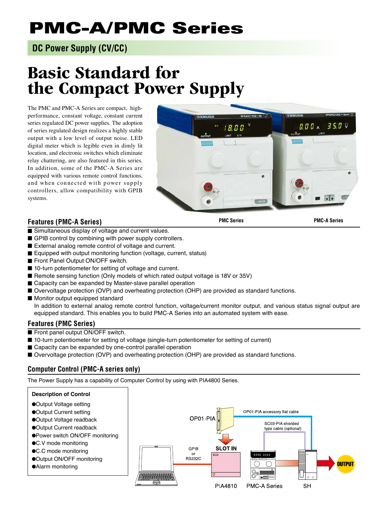# PMC-A/PMC Series

# **DC Power Supply (CV/CC)**

# **Basic Standard for the Compact Power Supply**

The PMC and PMC-A Series are compact, highperformance, constant voltage, constant current series regulated DC power supplies. The adoption of series regulated design realizes a highly stable output with a low level of output noise. LED digital meter which is legible even in dimly lit location, and electronic switches which eliminate relay chattering, are also featured in this series. In addition, some of the PMC-A Series are equipped with various remote control functions, and when connected with power supply controllers, allow compatibility with GPIB systems.

# **Features (PMC-A Series)**

1800

 $\sim$   $\sim$   $\sim$   $\sim$   $\sim$ 

**PMC Series PMC-A Series**

 $\blacksquare$ 

 $750v$ 

 $B B A$ 

- Simultaneous display of voltage and current values.
- GPIB control by combining with power supply controllers.
- External analog remote control of voltage and current.
- Equipped with output monitoring function (voltage, current, status)
- Front Panel Output ON/OFF switch.
- 10-turn potentiometer for setting of voltage and current.
- Remote sensing function (Only models of which rated output voltage is 18V or 35V)
- Capacity can be expanded by Master-slave parallel operation
- Overvoltage protection (OVP) and overheating protection (OHP) are provided as standard functions.
- Monitor output equipped standard

In addition to external analog remote control function, voltage/current monitor output, and various status signal output are equipped standard. This enables you to build PMC-A Series into an automated system with ease.

### **Features (PMC Series)**

- Front panel output ON/OFF switch.
- 10-turn potentiometer for setting of voltage (single-turn potentiometer for setting of current)
- Capacity can be expanded by one-control parallel operation
- Overvoltage protection (OVP) and overheating protection (OHP) are provided as standard functions.

# **Computer Control (PMC-A series only)**

The Power Supply has a capability of Computer Control by using with PIA4800 Series.

#### **Description of Control**

- Output Voltage setting
- Output Current setting
- ●Output Voltage readback
- ●Output Current readback
- Power switch ON/OFF monitoring
- ●C.V mode monitoring
- ●C.C mode monitoring
- Output ON/OFF monitoring
- Alarm monitoring

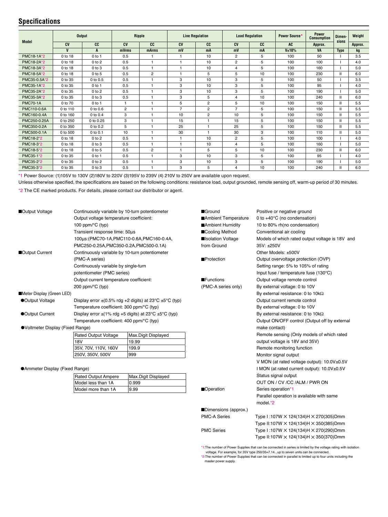### **Specifications**

| <b>Model</b>    | <b>Output</b> |              | Ripple         |                | <b>Line Regulation</b> |                | <b>Load Regulation</b> |    | Power Source* | <b>Power</b><br><b>Consumption</b> | <b>Dimen-</b><br>sions | Weight  |
|-----------------|---------------|--------------|----------------|----------------|------------------------|----------------|------------------------|----|---------------|------------------------------------|------------------------|---------|
|                 | <b>CV</b>     | CC           | CV             | CC             | <b>CV</b>              | CC             | <b>CV</b>              | CC | <b>AC</b>     | Approx.                            |                        | Approx. |
|                 | V             | A            | mVrms          | mArms          | mV                     | mA             | mV                     | mA | V±10%         | <b>VA</b>                          | <b>Type</b>            | kg      |
| PMC18-1A*2      | 0 to 18       | $0$ to 1     | 0.5            |                |                        | 10             | $\overline{2}$         | 5  | 100           | 50                                 |                        | 3.5     |
| PMC18-2A*2      | 0 to 18       | $0$ to $2$   | 0.5            |                |                        | 10             | $\overline{2}$         | 5  | 100           | 100                                |                        | 4.0     |
| PMC18-3A*2      | 0 to 18       | $0$ to $3$   | 0.5            |                |                        | 10             | 4                      | 5  | 100           | 160                                |                        | 5.0     |
| PMC18-5A*2      | 0 to 18       | $0$ to $5$   | 0.5            | $\overline{2}$ |                        | 5              | 5                      | 10 | 100           | 230                                | Ш                      | 6.0     |
| PMC35-0.5A*2    | 0 to 35       | 0 to 0.5     | 0.5            |                | 3                      | 10             | 3                      | 5  | 100           | 50                                 |                        | 3.5     |
| PMC35-1A*2      | 0 to 35       | $0$ to 1     | 0.5            | -1             | 3                      | 10             | 3                      | 5  | 100           | 95                                 |                        | 4.0     |
| PMC35-2A*2      | 0 to 35       | $0$ to $2$   | 0.5            | $\mathbf{1}$   | 3                      | 10             | 3                      | 5  | 100           | 190                                |                        | 5.0     |
| PMC35-3A*2      | 0 to 35       | $0$ to $3$   | 0.5            | $\mathbf{1}$   | 3                      | 5              | 4                      | 10 | 100           | 240                                | Ш                      | 6.0     |
| <b>PMC70-1A</b> | 0 to 70       | $0$ to 1     |                |                | 5                      | $\overline{2}$ | 5                      | 10 | 100           | 150                                | $\mathbf{H}$           | 5.5     |
| PMC110-0.6A     | 0 to 110      | 0 to 0.6     | $\overline{2}$ | $\overline{1}$ | $\overline{7}$         | $\overline{c}$ | $\overline{7}$         | 5  | 100           | 150                                | $\mathbf{H}$           | 5.5     |
| PMC160-0.4A     | 0 to 160      | 0 to 0.4     | 3              | $\mathbf{1}$   | 10                     | $\overline{c}$ | 10                     | 5  | 100           | 150                                |                        | 5.5     |
| PMC250-0.25A    | 0 to 250      | 0 to 0.25    | 3              | $\overline{1}$ | 15                     |                | 15                     | 5  | 100           | 150                                | Ш                      | 5.5     |
| PMC350-0.2A     | 0 to 350      | 0 to 0.2     | 5              | $\overline{1}$ | 25                     | $\overline{1}$ | 25                     | 5  | 100           | 150                                | Ш                      | 5.5     |
| PMC500-0.1A     | 0 to 500      | $0$ to $0.1$ | 10             | $\mathbf{1}$   | 30                     | $\overline{1}$ | 30                     | 3  | 100           | 110                                | Ш                      | 5.0     |
| PMC18-2*2       | 0 to 18       | $0$ to $2$   | 0.5            | $\overline{1}$ | -1                     | 10             | $\overline{c}$         | 5  | 100           | 100                                |                        | 4.0     |
| PMC18-3*2       | 0 to 18       | $0$ to $3$   | 0.5            | $\overline{1}$ | -1                     | 10             | 4                      | 5  | 100           | 160                                |                        | 5.0     |
| PMC18-5*2       | 0 to 18       | $0$ to 5     | 0.5            | $\overline{2}$ | f.                     | 5              | 5                      | 10 | 100           | 230                                | Ш                      | 6.0     |
| PMC35-1*2       | 0 to 35       | $0$ to 1     | 0.5            | $\mathbf{1}$   | 3                      | 10             | 3                      | 5  | 100           | 95                                 |                        | 4.0     |
| PMC35-2*2       | 0 to 35       | $0$ to $2$   | 0.5            |                | 3                      | 10             | 3                      | 5  | 100           | 190                                |                        | 5.0     |
| PMC35-3*2       | 0 to 35       | 0 to 3       | 0.5            |                | 3                      | 5              | 4                      | 10 | 100           | 240                                |                        | 6.0     |

\*1 Power Source: (1)105V to 130V (2)180V to 220V (3)195V to 239V (4) 210V to 250V are available upon request.

Unless otherwise specified, the specifications are based on the following conditions: resistance load, output grounded, remote sensing off, warm-up period of 30 minutes.

\*2 The CE marked products. For details, please contact our distributor or agent.

| Output Voltage<br>Continuously variable by 10-turn potentiometer<br>Output voltage temperature coefficient:<br>100 ppm/ $\mathrm{^{\circ}C}$ (typ)<br>Transient response time: 50µs<br>100us: (PMC70-1A, PMC110-0.6A, PMC160-0.4A, |                                                |                                                                  | Ground<br>Ambient Temperature<br>Ambient Humidity | Positive or negative ground<br>0 to $+40^{\circ}$ C (no condensation)<br>10 to 80% rh(no condensation)<br>Conventional air cooling<br>Models of which rated output voltage is 18V and |  |  |  |
|------------------------------------------------------------------------------------------------------------------------------------------------------------------------------------------------------------------------------------|------------------------------------------------|------------------------------------------------------------------|---------------------------------------------------|---------------------------------------------------------------------------------------------------------------------------------------------------------------------------------------|--|--|--|
|                                                                                                                                                                                                                                    |                                                |                                                                  | ■Cooling Method                                   |                                                                                                                                                                                       |  |  |  |
|                                                                                                                                                                                                                                    |                                                |                                                                  | solation Voltage                                  |                                                                                                                                                                                       |  |  |  |
|                                                                                                                                                                                                                                    |                                                |                                                                  |                                                   |                                                                                                                                                                                       |  |  |  |
|                                                                                                                                                                                                                                    | PMC250-0.25A, PMC350-0.2A, PMC500-0.1A)        |                                                                  | from Ground                                       | 35V: ±250V                                                                                                                                                                            |  |  |  |
| Output Current                                                                                                                                                                                                                     | Continuously variable by 10-turn potentiometer |                                                                  |                                                   | Other Models: ±500V                                                                                                                                                                   |  |  |  |
|                                                                                                                                                                                                                                    | (PMC-A series)                                 |                                                                  | <b>Protection</b>                                 | Output overvoltage protection (OVP)                                                                                                                                                   |  |  |  |
|                                                                                                                                                                                                                                    | Continuously variable by single-turn           |                                                                  |                                                   | Setting range: 5% to 105% of rating                                                                                                                                                   |  |  |  |
|                                                                                                                                                                                                                                    | potentiometer (PMC series)                     |                                                                  |                                                   | Input fuse / temperature fuse (130°C)                                                                                                                                                 |  |  |  |
|                                                                                                                                                                                                                                    | Output current temperature coefficient:        |                                                                  | <b>Functions</b>                                  | Output voltage remote control                                                                                                                                                         |  |  |  |
|                                                                                                                                                                                                                                    | 200 ppm/ $\degree$ C (typ)                     |                                                                  | (PMC-A series only)                               | By external voltage: 0 to 10V                                                                                                                                                         |  |  |  |
| Meter Display (Green LED)                                                                                                                                                                                                          |                                                |                                                                  |                                                   | By external resistance: 0 to 10k $\Omega$                                                                                                                                             |  |  |  |
| ●Output Voltage                                                                                                                                                                                                                    |                                                | Display error $\pm$ (0.5% rdg +2 digits) at 23°C $\pm$ 5°C (typ) |                                                   | Output current remote control                                                                                                                                                         |  |  |  |
|                                                                                                                                                                                                                                    | Temperature coefficient: 300 ppm/°C (typ)      |                                                                  |                                                   | By external voltage: 0 to 10V                                                                                                                                                         |  |  |  |
| ●Output Current                                                                                                                                                                                                                    |                                                | Display error $\pm$ (1% rdg +5 digits) at 23°C $\pm$ 5°C (typ)   |                                                   | By external resistance: 0 to $10k\Omega$                                                                                                                                              |  |  |  |
|                                                                                                                                                                                                                                    | Temperature coefficient: 400 ppm/°C (typ)      |                                                                  |                                                   | Output ON/OFF control (Output off by external                                                                                                                                         |  |  |  |
| ●Voltmeter Display (Fixed Range)                                                                                                                                                                                                   |                                                |                                                                  |                                                   | make contact)                                                                                                                                                                         |  |  |  |
|                                                                                                                                                                                                                                    | <b>Rated Output Voltage</b>                    | Max.Digit Displayed                                              |                                                   | Remote sensing (Only models of which rated                                                                                                                                            |  |  |  |
|                                                                                                                                                                                                                                    | <b>18V</b>                                     | 19.99                                                            |                                                   | output voltage is 18V and 35V)                                                                                                                                                        |  |  |  |
|                                                                                                                                                                                                                                    | 35V, 70V, 110V, 160V                           | 199.9                                                            |                                                   | Remote monitoring function                                                                                                                                                            |  |  |  |
|                                                                                                                                                                                                                                    | 250V, 350V, 500V                               | 999                                                              |                                                   | Monitor signal output                                                                                                                                                                 |  |  |  |
|                                                                                                                                                                                                                                    |                                                |                                                                  |                                                   | V MON (at rated voltage output): 10.0V±0.5V                                                                                                                                           |  |  |  |
| Ammeter Display (Fixed Range)                                                                                                                                                                                                      |                                                |                                                                  |                                                   | I MON (at rated current output): 10.0V±0.5V                                                                                                                                           |  |  |  |
|                                                                                                                                                                                                                                    | Rated Output Ampere                            | Max.Digit Displayed                                              |                                                   | Status signal output                                                                                                                                                                  |  |  |  |
|                                                                                                                                                                                                                                    | Model less than 1A                             | 0.999                                                            |                                                   | OUT ON / CV /CC /ALM / PWR ON                                                                                                                                                         |  |  |  |
|                                                                                                                                                                                                                                    | Model more than 1A                             | 9.99                                                             | <b>Operation</b>                                  | Series operation*1                                                                                                                                                                    |  |  |  |
|                                                                                                                                                                                                                                    |                                                |                                                                  |                                                   | Parallel operation is available with same                                                                                                                                             |  |  |  |
|                                                                                                                                                                                                                                    |                                                |                                                                  |                                                   | model.*2                                                                                                                                                                              |  |  |  |
|                                                                                                                                                                                                                                    |                                                |                                                                  | Dimensions (approx.)                              |                                                                                                                                                                                       |  |  |  |
|                                                                                                                                                                                                                                    |                                                |                                                                  | <b>PMC-A Series</b>                               | Type I:107W $\times$ 124(134)H $\times$ 270(305)Dmm                                                                                                                                   |  |  |  |
|                                                                                                                                                                                                                                    |                                                |                                                                  |                                                   | Type II:107W × 124(134)H × 350(385)Dmm                                                                                                                                                |  |  |  |
|                                                                                                                                                                                                                                    |                                                |                                                                  | <b>PMC Series</b>                                 | Type I:107W × 124(134)H × 270(290)Dmm                                                                                                                                                 |  |  |  |
|                                                                                                                                                                                                                                    |                                                |                                                                  |                                                   | Type II:107W × 124(134)H × 350(370)Dmm                                                                                                                                                |  |  |  |
|                                                                                                                                                                                                                                    |                                                |                                                                  |                                                   |                                                                                                                                                                                       |  |  |  |

\*1:The number of Power Supplies that can be connected in series is limited by the voltage rating with isolation voltage. For example, for 35V type 250/35=7.14...up to seven units can be connected.

\*2:The number of Power Supplies that can be connected in parallel is limited up to four units including the master power supply.